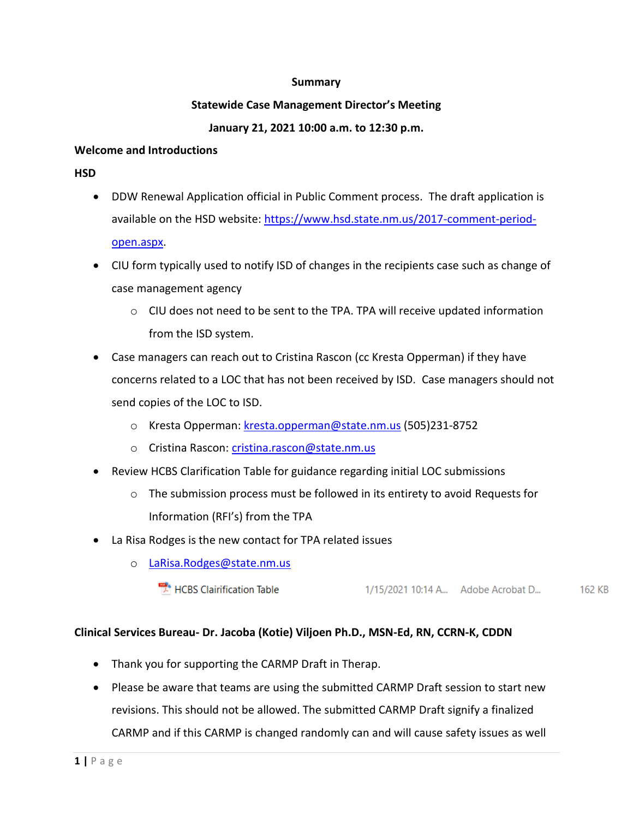#### **Summary**

#### **Statewide Case Management Director's Meeting**

## **January 21, 2021 10:00 a.m. to 12:30 p.m.**

#### **Welcome and Introductions**

**HSD** 

- DDW Renewal Application official in Public Comment process. The draft application is available on the HSD website: [https://www.hsd.state.nm.us/2017-comment-period](https://www.hsd.state.nm.us/2017-comment-period-open.aspx)[open.aspx.](https://www.hsd.state.nm.us/2017-comment-period-open.aspx)
- CIU form typically used to notify ISD of changes in the recipients case such as change of case management agency
	- $\circ$  CIU does not need to be sent to the TPA. TPA will receive updated information from the ISD system.
- Case managers can reach out to Cristina Rascon (cc Kresta Opperman) if they have concerns related to a LOC that has not been received by ISD. Case managers should not send copies of the LOC to ISD.
	- o Kresta Opperman: [kresta.opperman@state.nm.us](mailto:kresta.opperman@state.nm.us) (505)231-8752
	- o Cristina Rascon: [cristina.rascon@state.nm.us](mailto:cristina.rascon@state.nm.us)
- Review HCBS Clarification Table for guidance regarding initial LOC submissions
	- o The submission process must be followed in its entirety to avoid Requests for Information (RFI's) from the TPA
- La Risa Rodges is the new contact for TPA related issues
	- o LaRisa.Rodges@state.nm.us
		- " HCBS Clairification Table 1/15/2021 10:14 A... Adobe Acrobat D... 162 KB

# **Clinical Services Bureau- Dr. Jacoba (Kotie) Viljoen Ph.D., MSN-Ed, RN, CCRN-K, CDDN**

- Thank you for supporting the CARMP Draft in Therap.
- Please be aware that teams are using the submitted CARMP Draft session to start new revisions. This should not be allowed. The submitted CARMP Draft signify a finalized CARMP and if this CARMP is changed randomly can and will cause safety issues as well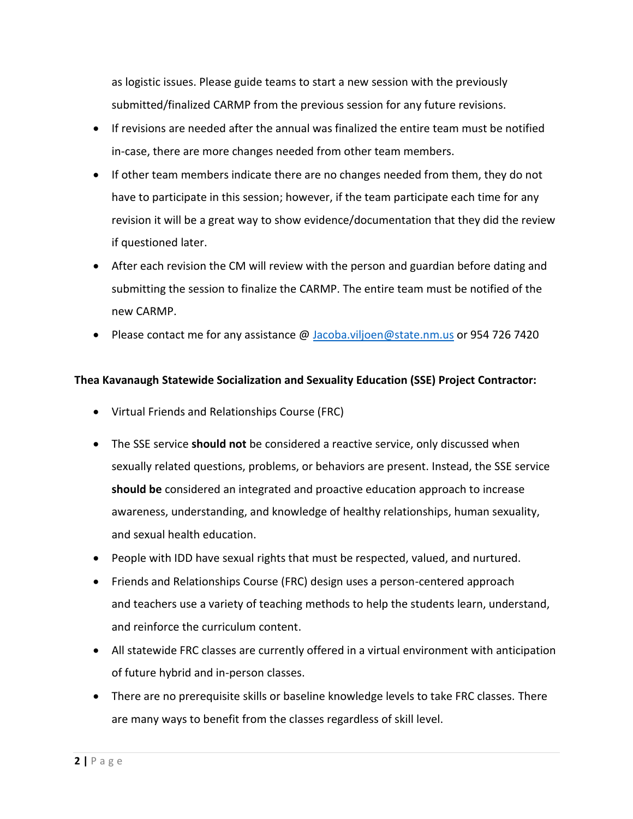as logistic issues. Please guide teams to start a new session with the previously submitted/finalized CARMP from the previous session for any future revisions.

- If revisions are needed after the annual was finalized the entire team must be notified in-case, there are more changes needed from other team members.
- If other team members indicate there are no changes needed from them, they do not have to participate in this session; however, if the team participate each time for any revision it will be a great way to show evidence/documentation that they did the review if questioned later.
- After each revision the CM will review with the person and guardian before dating and submitting the session to finalize the CARMP. The entire team must be notified of the new CARMP.
- Please contact me for any assistance @ [Jacoba.viljoen@state.nm.us](mailto:Jacoba.viljoen@state.nm.us) or 954 726 7420

### **Thea Kavanaugh Statewide Socialization and Sexuality Education (SSE) Project Contractor:**

- Virtual Friends and Relationships Course (FRC)
- The SSE service **should not** be considered a reactive service, only discussed when sexually related questions, problems, or behaviors are present. Instead, the SSE service **should be** considered an integrated and proactive education approach to increase awareness, understanding, and knowledge of healthy relationships, human sexuality, and sexual health education.
- People with IDD have sexual rights that must be respected, valued, and nurtured.
- Friends and Relationships Course (FRC) design uses a person-centered approach and teachers use a variety of teaching methods to help the students learn, understand, and reinforce the curriculum content.
- All statewide FRC classes are currently offered in a virtual environment with anticipation of future hybrid and in-person classes.
- There are no prerequisite skills or baseline knowledge levels to take FRC classes. There are many ways to benefit from the classes regardless of skill level.